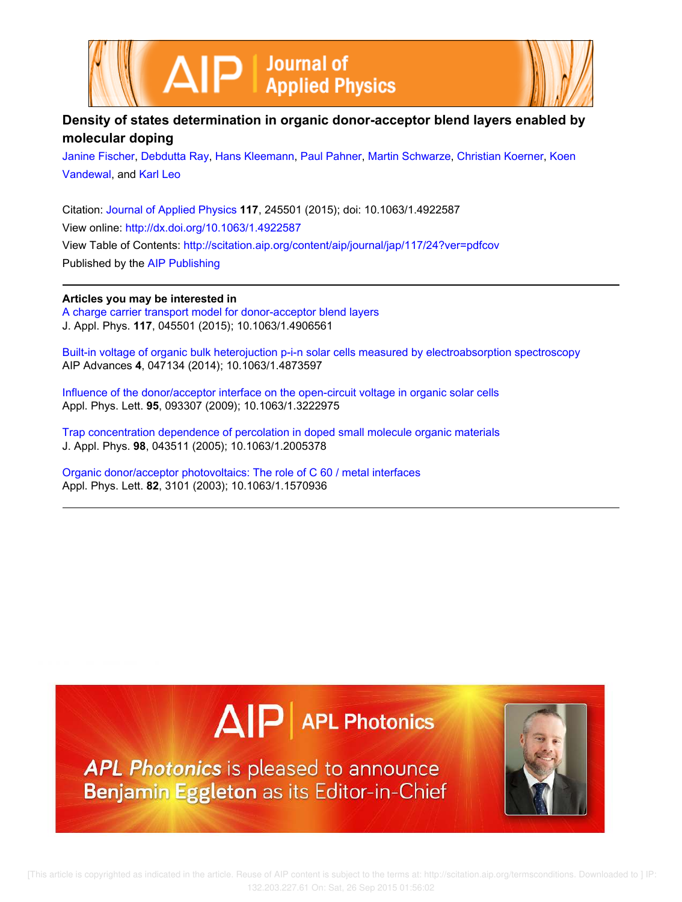



# **Density of states determination in organic donor-acceptor blend layers enabled by molecular doping**

Janine Fischer, Debdutta Ray, Hans Kleemann, Paul Pahner, Martin Schwarze, Christian Koerner, Koen Vandewal, and Karl Leo

Citation: Journal of Applied Physics **117**, 245501 (2015); doi: 10.1063/1.4922587 View online: http://dx.doi.org/10.1063/1.4922587 View Table of Contents: http://scitation.aip.org/content/aip/journal/jap/117/24?ver=pdfcov Published by the AIP Publishing

### **Articles you may be interested in**

A charge carrier transport model for donor-acceptor blend layers J. Appl. Phys. **117**, 045501 (2015); 10.1063/1.4906561

Built-in voltage of organic bulk heterojuction p-i-n solar cells measured by electroabsorption spectroscopy AIP Advances **4**, 047134 (2014); 10.1063/1.4873597

Influence of the donor/acceptor interface on the open-circuit voltage in organic solar cells Appl. Phys. Lett. **95**, 093307 (2009); 10.1063/1.3222975

Trap concentration dependence of percolation in doped small molecule organic materials J. Appl. Phys. **98**, 043511 (2005); 10.1063/1.2005378

Organic donor/acceptor photovoltaics: The role of C 60 / metal interfaces Appl. Phys. Lett. **82**, 3101 (2003); 10.1063/1.1570936





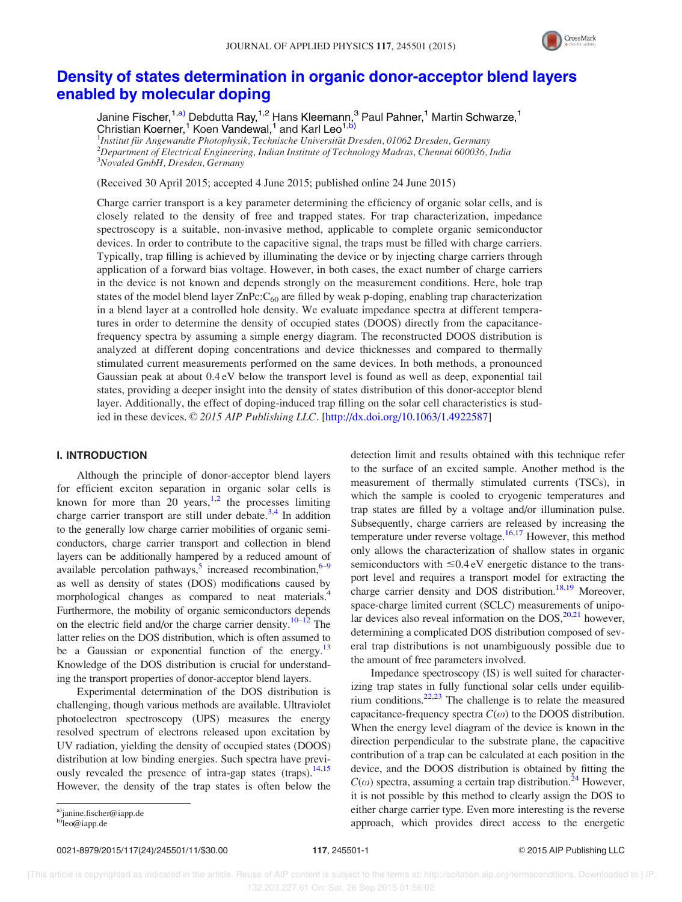

## Density of states determination in organic donor-acceptor blend layers enabled by molecular doping

Janine Fischer,<sup>1,a)</sup> Debdutta Ray,<sup>1,2</sup> Hans Kleemann,<sup>3</sup> Paul Pahner,<sup>1</sup> Martin Schwarze,<sup>1</sup> Christian Koerner,<sup>1</sup> Koen Vandewal,<sup>1</sup> and Karl Leo<sup>1,b)</sup>

<sup>1</sup>Institut für Angewandte Photophysik, Technische Universität Dresden, 01062 Dresden, Germany  $^2$ Department of Electrical Engineering, Indian Institute of Technology Madras, Chennai 600036, India <sup>3</sup>Novaled GmbH, Dresden, Germany

(Received 30 April 2015; accepted 4 June 2015; published online 24 June 2015)

Charge carrier transport is a key parameter determining the efficiency of organic solar cells, and is closely related to the density of free and trapped states. For trap characterization, impedance spectroscopy is a suitable, non-invasive method, applicable to complete organic semiconductor devices. In order to contribute to the capacitive signal, the traps must be filled with charge carriers. Typically, trap filling is achieved by illuminating the device or by injecting charge carriers through application of a forward bias voltage. However, in both cases, the exact number of charge carriers in the device is not known and depends strongly on the measurement conditions. Here, hole trap states of the model blend layer  $ZnPc:C<sub>60</sub>$  are filled by weak p-doping, enabling trap characterization in a blend layer at a controlled hole density. We evaluate impedance spectra at different temperatures in order to determine the density of occupied states (DOOS) directly from the capacitancefrequency spectra by assuming a simple energy diagram. The reconstructed DOOS distribution is analyzed at different doping concentrations and device thicknesses and compared to thermally stimulated current measurements performed on the same devices. In both methods, a pronounced Gaussian peak at about 0.4 eV below the transport level is found as well as deep, exponential tail states, providing a deeper insight into the density of states distribution of this donor-acceptor blend layer. Additionally, the effect of doping-induced trap filling on the solar cell characteristics is studied in these devices.  $\odot$  2015 AIP Publishing LLC. [http://dx.doi.org/10.1063/1.4922587]

#### I. INTRODUCTION

Although the principle of donor-acceptor blend layers for efficient exciton separation in organic solar cells is known for more than 20 years,  $1,2$  the processes limiting charge carrier transport are still under debate.<sup>3,4</sup> In addition to the generally low charge carrier mobilities of organic semiconductors, charge carrier transport and collection in blend layers can be additionally hampered by a reduced amount of available percolation pathways, increased recombination,  $6-9$ as well as density of states (DOS) modifications caused by morphological changes as compared to neat materials.<sup>4</sup> Furthermore, the mobility of organic semiconductors depends on the electric field and/or the charge carrier density.<sup>10–12</sup> The latter relies on the DOS distribution, which is often assumed to be a Gaussian or exponential function of the energy.<sup>13</sup> Knowledge of the DOS distribution is crucial for understanding the transport properties of donor-acceptor blend layers.

Experimental determination of the DOS distribution is challenging, though various methods are available. Ultraviolet photoelectron spectroscopy (UPS) measures the energy resolved spectrum of electrons released upon excitation by UV radiation, yielding the density of occupied states (DOOS) distribution at low binding energies. Such spectra have previously revealed the presence of intra-gap states (traps). $^{14,15}$ However, the density of the trap states is often below the

detection limit and results obtained with this technique refer to the surface of an excited sample. Another method is the measurement of thermally stimulated currents (TSCs), in which the sample is cooled to cryogenic temperatures and trap states are filled by a voltage and/or illumination pulse. Subsequently, charge carriers are released by increasing the temperature under reverse voltage.<sup>16,17</sup> However, this method only allows the characterization of shallow states in organic semiconductors with  $\leq 0.4$  eV energetic distance to the transport level and requires a transport model for extracting the charge carrier density and DOS distribution.<sup>18,19</sup> Moreover, space-charge limited current (SCLC) measurements of unipolar devices also reveal information on the  $DOS$ ,<sup>20,21</sup> however, determining a complicated DOS distribution composed of several trap distributions is not unambiguously possible due to the amount of free parameters involved.

Impedance spectroscopy (IS) is well suited for characterizing trap states in fully functional solar cells under equilibrium conditions.<sup>22,23</sup> The challenge is to relate the measured capacitance-frequency spectra  $C(\omega)$  to the DOOS distribution. When the energy level diagram of the device is known in the direction perpendicular to the substrate plane, the capacitive contribution of a trap can be calculated at each position in the device, and the DOOS distribution is obtained by fitting the  $C(\omega)$  spectra, assuming a certain trap distribution.<sup>24</sup> However, it is not possible by this method to clearly assign the DOS to either charge carrier type. Even more interesting is the reverse approach, which provides direct access to the energetic

0021-8979/2015/117(24)/245501/11/\$30.00 117, 245501-1 © 2015 AIP Publishing LLC

a)janine.fischer@iapp.de

b)leo@iapp.de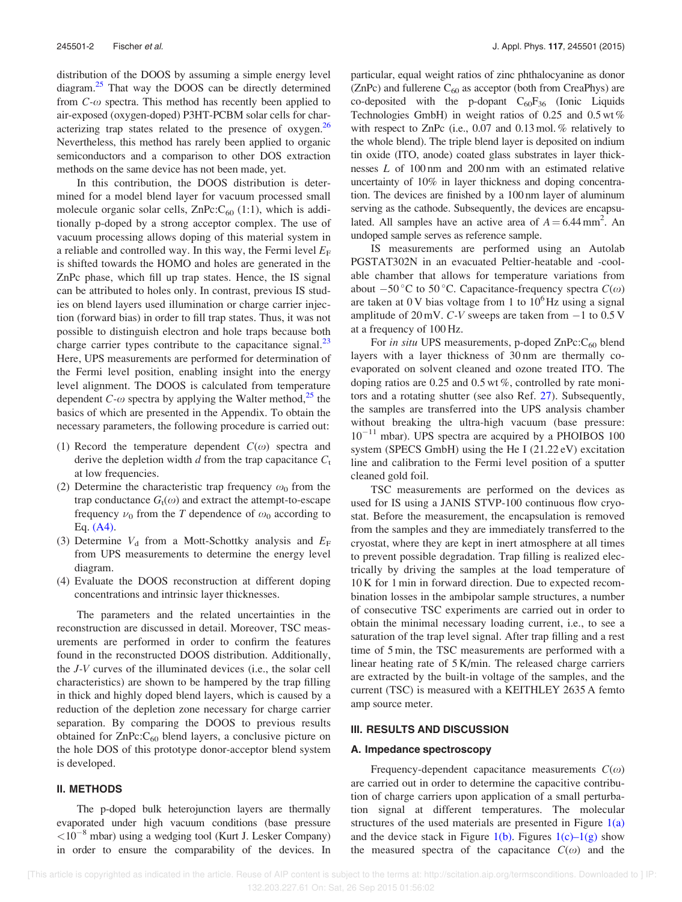distribution of the DOOS by assuming a simple energy level diagram.<sup>25</sup> That way the DOOS can be directly determined from  $C$ - $\omega$  spectra. This method has recently been applied to air-exposed (oxygen-doped) P3HT-PCBM solar cells for characterizing trap states related to the presence of oxygen.<sup>26</sup> Nevertheless, this method has rarely been applied to organic semiconductors and a comparison to other DOS extraction methods on the same device has not been made, yet.

In this contribution, the DOOS distribution is determined for a model blend layer for vacuum processed small molecule organic solar cells,  $\text{ZnPc:}C_{60}$  (1:1), which is additionally p-doped by a strong acceptor complex. The use of vacuum processing allows doping of this material system in a reliable and controlled way. In this way, the Fermi level  $E_F$ is shifted towards the HOMO and holes are generated in the ZnPc phase, which fill up trap states. Hence, the IS signal can be attributed to holes only. In contrast, previous IS studies on blend layers used illumination or charge carrier injection (forward bias) in order to fill trap states. Thus, it was not possible to distinguish electron and hole traps because both charge carrier types contribute to the capacitance signal.<sup>23</sup> Here, UPS measurements are performed for determination of the Fermi level position, enabling insight into the energy level alignment. The DOOS is calculated from temperature dependent C- $\omega$  spectra by applying the Walter method,<sup>25</sup> the basics of which are presented in the Appendix. To obtain the necessary parameters, the following procedure is carried out:

- (1) Record the temperature dependent  $C(\omega)$  spectra and derive the depletion width  $d$  from the trap capacitance  $C_t$ at low frequencies.
- (2) Determine the characteristic trap frequency  $\omega_0$  from the trap conductance  $G_t(\omega)$  and extract the attempt-to-escape frequency  $\nu_0$  from the T dependence of  $\omega_0$  according to Eq. (A4).
- (3) Determine  $V_d$  from a Mott-Schottky analysis and  $E_F$ from UPS measurements to determine the energy level diagram.
- (4) Evaluate the DOOS reconstruction at different doping concentrations and intrinsic layer thicknesses.

The parameters and the related uncertainties in the reconstruction are discussed in detail. Moreover, TSC measurements are performed in order to confirm the features found in the reconstructed DOOS distribution. Additionally, the J-V curves of the illuminated devices (i.e., the solar cell characteristics) are shown to be hampered by the trap filling in thick and highly doped blend layers, which is caused by a reduction of the depletion zone necessary for charge carrier separation. By comparing the DOOS to previous results obtained for  $\text{ZnPc:}C_{60}$  blend layers, a conclusive picture on the hole DOS of this prototype donor-acceptor blend system is developed.

#### II. METHODS

The p-doped bulk heterojunction layers are thermally evaporated under high vacuum conditions (base pressure  $<$ 10<sup>-8</sup> mbar) using a wedging tool (Kurt J. Lesker Company) in order to ensure the comparability of the devices. In particular, equal weight ratios of zinc phthalocyanine as donor ( $ZnPc$ ) and fullerene  $C_{60}$  as acceptor (both from CreaPhys) are co-deposited with the p-dopant  $C_{60}F_{36}$  (Ionic Liquids Technologies GmbH) in weight ratios of 0.25 and 0.5 wt % with respect to ZnPc (i.e., 0.07 and 0.13 mol. % relatively to the whole blend). The triple blend layer is deposited on indium tin oxide (ITO, anode) coated glass substrates in layer thicknesses L of 100 nm and 200 nm with an estimated relative uncertainty of 10% in layer thickness and doping concentration. The devices are finished by a 100 nm layer of aluminum serving as the cathode. Subsequently, the devices are encapsulated. All samples have an active area of  $A = 6.44$  mm<sup>2</sup>. An undoped sample serves as reference sample.

IS measurements are performed using an Autolab PGSTAT302N in an evacuated Peltier-heatable and -coolable chamber that allows for temperature variations from about  $-50^{\circ}$ C to 50 °C. Capacitance-frequency spectra  $C(\omega)$ are taken at  $0 \text{ V}$  bias voltage from 1 to  $10^6$  Hz using a signal amplitude of  $20 \text{ mV}$ . C-V sweeps are taken from  $-1$  to 0.5 V at a frequency of 100 Hz.

For in situ UPS measurements, p-doped  $\text{ZnPc:}C_{60}$  blend layers with a layer thickness of 30 nm are thermally coevaporated on solvent cleaned and ozone treated ITO. The doping ratios are 0.25 and 0.5 wt %, controlled by rate monitors and a rotating shutter (see also Ref. 27). Subsequently, the samples are transferred into the UPS analysis chamber without breaking the ultra-high vacuum (base pressure: 10<sup>-11</sup> mbar). UPS spectra are acquired by a PHOIBOS 100 system (SPECS GmbH) using the He I (21.22 eV) excitation line and calibration to the Fermi level position of a sputter cleaned gold foil.

TSC measurements are performed on the devices as used for IS using a JANIS STVP-100 continuous flow cryostat. Before the measurement, the encapsulation is removed from the samples and they are immediately transferred to the cryostat, where they are kept in inert atmosphere at all times to prevent possible degradation. Trap filling is realized electrically by driving the samples at the load temperature of 10 K for 1 min in forward direction. Due to expected recombination losses in the ambipolar sample structures, a number of consecutive TSC experiments are carried out in order to obtain the minimal necessary loading current, i.e., to see a saturation of the trap level signal. After trap filling and a rest time of 5 min, the TSC measurements are performed with a linear heating rate of 5 K/min. The released charge carriers are extracted by the built-in voltage of the samples, and the current (TSC) is measured with a KEITHLEY 2635 A femto amp source meter.

#### III. RESULTS AND DISCUSSION

#### A. Impedance spectroscopy

Frequency-dependent capacitance measurements  $C(\omega)$ are carried out in order to determine the capacitive contribution of charge carriers upon application of a small perturbation signal at different temperatures. The molecular structures of the used materials are presented in Figure  $1(a)$ and the device stack in Figure 1(b). Figures  $1(c)-1(g)$  show the measured spectra of the capacitance  $C(\omega)$  and the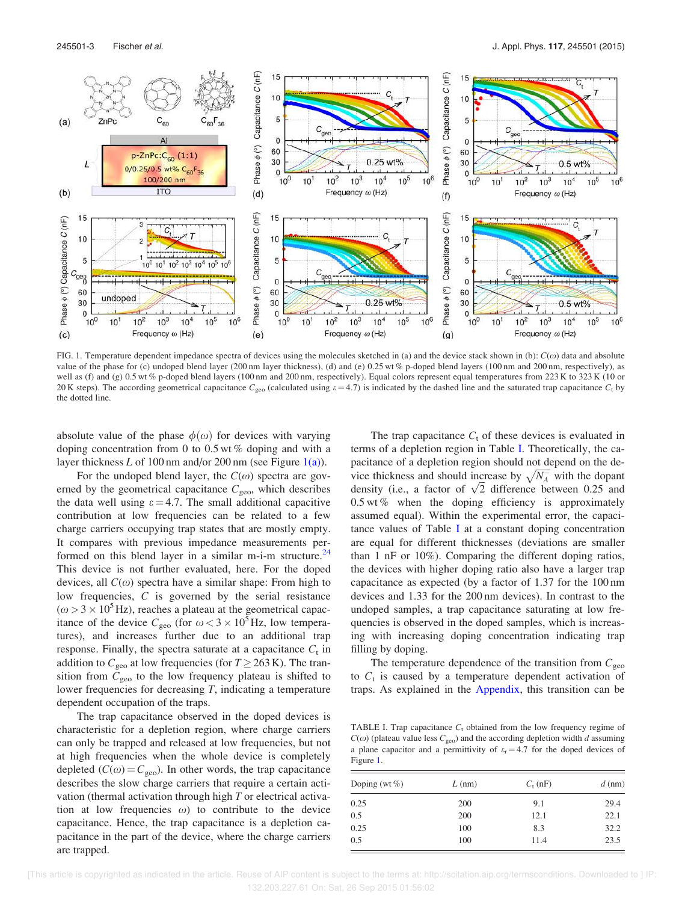

FIG. 1. Temperature dependent impedance spectra of devices using the molecules sketched in (a) and the device stack shown in (b):  $C(\omega)$  data and absolute value of the phase for (c) undoped blend layer (200 nm layer thickness), (d) and (e) 0.25 wt % p-doped blend layers (100 nm and 200 nm, respectively), as well as (f) and (g) 0.5 wt % p-doped blend layers (100 nm and 200 nm, respectively). Equal colors represent equal temperatures from 223 K to 323 K (10 or 20 K steps). The according geometrical capacitance  $C_{\text{geo}}$  (calculated using  $\varepsilon = 4.7$ ) is indicated by the dashed line and the saturated trap capacitance  $C_t$  by the dotted line.

absolute value of the phase  $\phi(\omega)$  for devices with varying doping concentration from 0 to 0.5 wt % doping and with a layer thickness L of 100 nm and/or 200 nm (see Figure  $1(a)$ ).

For the undoped blend layer, the  $C(\omega)$  spectra are governed by the geometrical capacitance  $C_{\text{geo}}$ , which describes the data well using  $\varepsilon = 4.7$ . The small additional capacitive contribution at low frequencies can be related to a few charge carriers occupying trap states that are mostly empty. It compares with previous impedance measurements performed on this blend layer in a similar m-i-m structure.<sup>24</sup> This device is not further evaluated, here. For the doped devices, all  $C(\omega)$  spectra have a similar shape: From high to low frequencies, C is governed by the serial resistance  $(\omega > 3 \times 10^5 \text{ Hz})$ , reaches a plateau at the geometrical capacitance of the device  $C_{\text{geo}}$  (for  $\omega < 3 \times 10^5$  Hz, low temperatures), and increases further due to an additional trap response. Finally, the spectra saturate at a capacitance  $C_t$  in addition to  $C_{\text{geo}}$  at low frequencies (for  $T \geq 263$  K). The transition from  $C_{\text{geo}}$  to the low frequency plateau is shifted to lower frequencies for decreasing T, indicating a temperature dependent occupation of the traps.

The trap capacitance observed in the doped devices is characteristic for a depletion region, where charge carriers can only be trapped and released at low frequencies, but not at high frequencies when the whole device is completely depleted ( $C(\omega) = C_{\text{geo}}$ ). In other words, the trap capacitance describes the slow charge carriers that require a certain activation (thermal activation through high  $T$  or electrical activation at low frequencies  $\omega$ ) to contribute to the device capacitance. Hence, the trap capacitance is a depletion capacitance in the part of the device, where the charge carriers are trapped.

The trap capacitance  $C_t$  of these devices is evaluated in terms of a depletion region in Table I. Theoretically, the capacitance of a depletion region should not depend on the device thickness and should increase by  $\sqrt{N_A^-}$  with the dopant density (i.e., a factor of  $\sqrt{2}$  difference between 0.25 and  $0.5$  wt % when the doping efficiency is approximately assumed equal). Within the experimental error, the capacitance values of Table I at a constant doping concentration are equal for different thicknesses (deviations are smaller than 1 nF or 10%). Comparing the different doping ratios, the devices with higher doping ratio also have a larger trap capacitance as expected (by a factor of 1.37 for the 100 nm devices and 1.33 for the 200 nm devices). In contrast to the undoped samples, a trap capacitance saturating at low frequencies is observed in the doped samples, which is increasing with increasing doping concentration indicating trap filling by doping.

The temperature dependence of the transition from  $C_{\text{geo}}$ to  $C_t$  is caused by a temperature dependent activation of traps. As explained in the Appendix, this transition can be

TABLE I. Trap capacitance  $C_t$  obtained from the low frequency regime of  $C(\omega)$  (plateau value less  $C_{\text{geo}}$ ) and the according depletion width d assuming a plane capacitor and a permittivity of  $\varepsilon$ <sub>r</sub> = 4.7 for the doped devices of Figure 1.

| Doping (wt $\%$ ) | $L$ (nm) | $C_{\rm t}$ (nF) | $d$ (nm) |
|-------------------|----------|------------------|----------|
| 0.25              | 200      | 9.1              | 29.4     |
| 0.5               | 200      | 12.1             | 22.1     |
| 0.25              | 100      | 8.3              | 32.2     |
| 0.5               | 100      | 11.4             | 23.5     |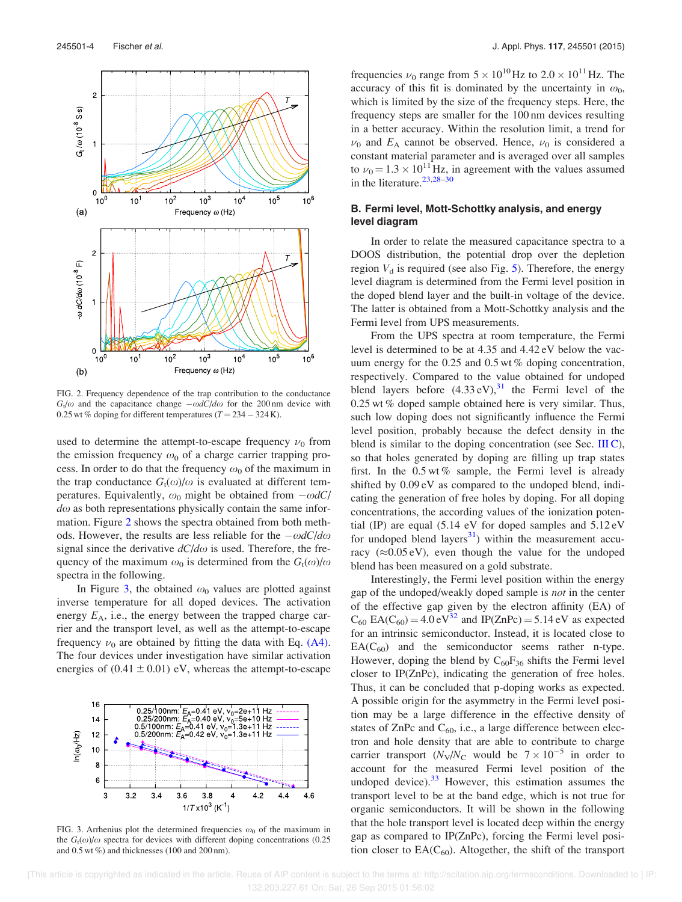

FIG. 2. Frequency dependence of the trap contribution to the conductance  $G_v/\omega$  and the capacitance change  $-\omega dC/d\omega$  for the 200 nm device with 0.25 wt % doping for different temperatures  $(T = 234 - 324 \text{ K})$ .

used to determine the attempt-to-escape frequency  $\nu_0$  from the emission frequency  $\omega_0$  of a charge carrier trapping process. In order to do that the frequency  $\omega_0$  of the maximum in the trap conductance  $G_t(\omega)/\omega$  is evaluated at different temperatures. Equivalently,  $\omega_0$  might be obtained from  $-\omega dC$  $d\omega$  as both representations physically contain the same information. Figure 2 shows the spectra obtained from both methods. However, the results are less reliable for the  $-\omega dC/d\omega$ signal since the derivative  $dC/d\omega$  is used. Therefore, the frequency of the maximum  $\omega_0$  is determined from the  $G_t(\omega)/\omega$ spectra in the following.

In Figure 3, the obtained  $\omega_0$  values are plotted against inverse temperature for all doped devices. The activation energy  $E_A$ , i.e., the energy between the trapped charge carrier and the transport level, as well as the attempt-to-escape frequency  $\nu_0$  are obtained by fitting the data with Eq. (A4). The four devices under investigation have similar activation energies of  $(0.41 \pm 0.01)$  eV, whereas the attempt-to-escape



FIG. 3. Arrhenius plot the determined frequencies  $\omega_0$  of the maximum in the  $G_t(\omega)/\omega$  spectra for devices with different doping concentrations (0.25 and 0.5 wt %) and thicknesses (100 and 200 nm).

frequencies  $\nu_0$  range from  $5 \times 10^{10}$  Hz to  $2.0 \times 10^{11}$  Hz. The accuracy of this fit is dominated by the uncertainty in  $\omega_0$ , which is limited by the size of the frequency steps. Here, the frequency steps are smaller for the 100 nm devices resulting in a better accuracy. Within the resolution limit, a trend for  $\nu_0$  and  $E_A$  cannot be observed. Hence,  $\nu_0$  is considered a constant material parameter and is averaged over all samples to  $\nu_0 = 1.3 \times 10^{11}$  Hz, in agreement with the values assumed in the literature.  $23,28-30$ 

### B. Fermi level, Mott-Schottky analysis, and energy level diagram

In order to relate the measured capacitance spectra to a DOOS distribution, the potential drop over the depletion region  $V_d$  is required (see also Fig. 5). Therefore, the energy level diagram is determined from the Fermi level position in the doped blend layer and the built-in voltage of the device. The latter is obtained from a Mott-Schottky analysis and the Fermi level from UPS measurements.

From the UPS spectra at room temperature, the Fermi level is determined to be at 4.35 and 4.42 eV below the vacuum energy for the 0.25 and 0.5 wt % doping concentration, respectively. Compared to the value obtained for undoped blend layers before  $(4.33 \text{ eV})$ ,<sup>31</sup> the Fermi level of the 0.25 wt % doped sample obtained here is very similar. Thus, such low doping does not significantly influence the Fermi level position, probably because the defect density in the blend is similar to the doping concentration (see Sec. III C), so that holes generated by doping are filling up trap states first. In the  $0.5 \text{ wt } \%$  sample, the Fermi level is already shifted by 0.09 eV as compared to the undoped blend, indicating the generation of free holes by doping. For all doping concentrations, the according values of the ionization potential (IP) are equal (5.14 eV for doped samples and 5.12 eV for undoped blend layers<sup>31</sup>) within the measurement accuracy ( $\approx 0.05$  eV), even though the value for the undoped blend has been measured on a gold substrate.

Interestingly, the Fermi level position within the energy gap of the undoped/weakly doped sample is not in the center of the effective gap given by the electron affinity (EA) of  $C_{60}$  EA( $C_{60}$ ) = 4.0 eV<sup>32</sup> and IP(ZnPc) = 5.14 eV as expected for an intrinsic semiconductor. Instead, it is located close to  $EA(C_{60})$  and the semiconductor seems rather n-type. However, doping the blend by  $C_{60}F_{36}$  shifts the Fermi level closer to IP(ZnPc), indicating the generation of free holes. Thus, it can be concluded that p-doping works as expected. A possible origin for the asymmetry in the Fermi level position may be a large difference in the effective density of states of ZnPc and  $C_{60}$ , i.e., a large difference between electron and hole density that are able to contribute to charge carrier transport  $(N_{\rm V}/N_{\rm C}$  would be  $7 \times 10^{-5}$  in order to account for the measured Fermi level position of the undoped device). $33$  However, this estimation assumes the transport level to be at the band edge, which is not true for organic semiconductors. It will be shown in the following that the hole transport level is located deep within the energy gap as compared to IP(ZnPc), forcing the Fermi level position closer to  $EA(C_{60})$ . Altogether, the shift of the transport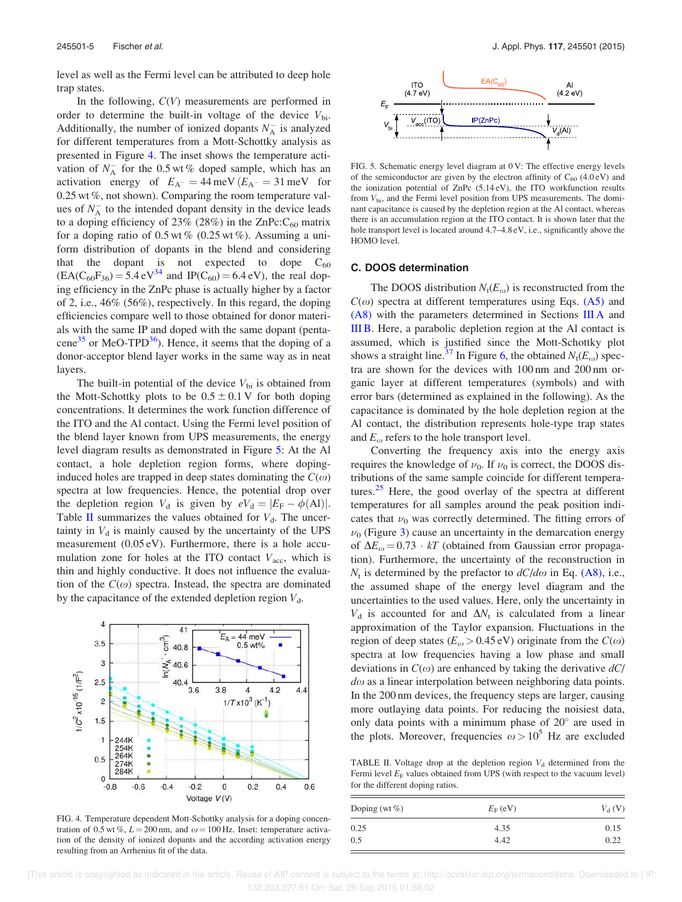level as well as the Fermi level can be attributed to deep hole trap states.

In the following,  $C(V)$  measurements are performed in order to determine the built-in voltage of the device  $V_{\text{bi}}$ . Additionally, the number of ionized dopants  $N_A^-$  is analyzed for different temperatures from a Mott-Schottky analysis as presented in Figure 4. The inset shows the temperature activation of  $N_A^-$  for the 0.5 wt % doped sample, which has an activation energy of  $E_{A}$  = 44 meV  $(E_{A}$  = 31 meV for  $0.25$  wt %, not shown). Comparing the room temperature values of  $N_A^-$  to the intended dopant density in the device leads to a doping efficiency of 23% (28%) in the  $\text{ZnPc:}\text{C}_{60}$  matrix for a doping ratio of  $0.5 \text{ wt } \%$  (0.25 wt %). Assuming a uniform distribution of dopants in the blend and considering that the dopant is not expected to dope  $C_{60}$  $(EA(C_{60}F_{36}) = 5.4 \text{ eV}^{34}$  and  $IP(C_{60}) = 6.4 \text{ eV}$ , the real doping efficiency in the ZnPc phase is actually higher by a factor of 2, i.e., 46% (56%), respectively. In this regard, the doping efficiencies compare well to those obtained for donor materials with the same IP and doped with the same dopant (pentacene<sup>35</sup> or MeO-TPD<sup>36</sup>). Hence, it seems that the doping of a donor-acceptor blend layer works in the same way as in neat layers.

The built-in potential of the device  $V_{\rm bi}$  is obtained from the Mott-Schottky plots to be  $0.5 \pm 0.1$  V for both doping concentrations. It determines the work function difference of the ITO and the Al contact. Using the Fermi level position of the blend layer known from UPS measurements, the energy level diagram results as demonstrated in Figure 5: At the Al contact, a hole depletion region forms, where dopinginduced holes are trapped in deep states dominating the  $C(\omega)$ spectra at low frequencies. Hence, the potential drop over the depletion region  $V_d$  is given by  $eV_d = |E_F - \phi(A)|$ . Table II summarizes the values obtained for  $V_d$ . The uncertainty in  $V_d$  is mainly caused by the uncertainty of the UPS measurement (0.05 eV). Furthermore, there is a hole accumulation zone for holes at the ITO contact  $V_{\text{acc}}$ , which is thin and highly conductive. It does not influence the evaluation of the  $C(\omega)$  spectra. Instead, the spectra are dominated by the capacitance of the extended depletion region  $V_d$ .



FIG. 4. Temperature dependent Mott-Schottky analysis for a doping concentration of 0.5 wt %,  $L = 200$  nm, and  $\omega = 100$  Hz. Inset: temperature activation of the density of ionized dopants and the according activation energy resulting from an Arrhenius fit of the data.



FIG. 5. Schematic energy level diagram at 0 V: The effective energy levels of the semiconductor are given by the electron affinity of  $C_{60}$  (4.0 eV) and the ionization potential of ZnPc (5.14 eV), the ITO workfunction results from  $V_{\rm bi}$ , and the Fermi level position from UPS measurements. The dominant capacitance is caused by the depletion region at the Al contact, whereas there is an accumulation region at the ITO contact. It is shown later that the hole transport level is located around  $4.7-4.8$  eV, i.e., significantly above the HOMO level.

#### C. DOOS determination

The DOOS distribution  $N_t(E_\omega)$  is reconstructed from the  $C(\omega)$  spectra at different temperatures using Eqs. (A5) and (A8) with the parameters determined in Sections III A and III B. Here, a parabolic depletion region at the Al contact is assumed, which is justified since the Mott-Schottky plot shows a straight line.<sup>37</sup> In Figure 6, the obtained  $N_t(E_\omega)$  spectra are shown for the devices with 100 nm and 200 nm organic layer at different temperatures (symbols) and with error bars (determined as explained in the following). As the capacitance is dominated by the hole depletion region at the Al contact, the distribution represents hole-type trap states and  $E_{\omega}$  refers to the hole transport level.

Converting the frequency axis into the energy axis requires the knowledge of  $\nu_0$ . If  $\nu_0$  is correct, the DOOS distributions of the same sample coincide for different temperatures. $25$  Here, the good overlay of the spectra at different temperatures for all samples around the peak position indicates that  $\nu_0$  was correctly determined. The fitting errors of  $\nu_0$  (Figure 3) cause an uncertainty in the demarcation energy of  $\Delta E_{\omega} = 0.73 \cdot kT$  (obtained from Gaussian error propagation). Furthermore, the uncertainty of the reconstruction in  $N_t$  is determined by the prefactor to  $dC/d\omega$  in Eq. (A8), i.e., the assumed shape of the energy level diagram and the uncertainties to the used values. Here, only the uncertainty in  $V_d$  is accounted for and  $\Delta N_t$  is calculated from a linear approximation of the Taylor expansion. Fluctuations in the region of deep states ( $E_{\omega} > 0.45$  eV) originate from the  $C(\omega)$ spectra at low frequencies having a low phase and small deviations in  $C(\omega)$  are enhanced by taking the derivative  $dC$  $d\omega$  as a linear interpolation between neighboring data points. In the 200 nm devices, the frequency steps are larger, causing more outlaying data points. For reducing the noisiest data, only data points with a minimum phase of 20 are used in the plots. Moreover, frequencies  $\omega > 10^5$  Hz are excluded

TABLE II. Voltage drop at the depletion region  $V_d$  determined from the Fermi level  $E_F$  values obtained from UPS (with respect to the vacuum level) for the different doping ratios.

| Doping (wt $\%$ ) | $E_{\rm F}$ (eV) | $V_{\rm d}$ (V) |  |
|-------------------|------------------|-----------------|--|
| 0.25              | 4.35             | 0.15            |  |
| 0.5               | 4.42             | 0.22            |  |

 [This article is copyrighted as indicated in the article. Reuse of AIP content is subject to the terms at: http://scitation.aip.org/termsconditions. Downloaded to ] IP: 132.203.227.61 On: Sat, 26 Sep 2015 01:56:02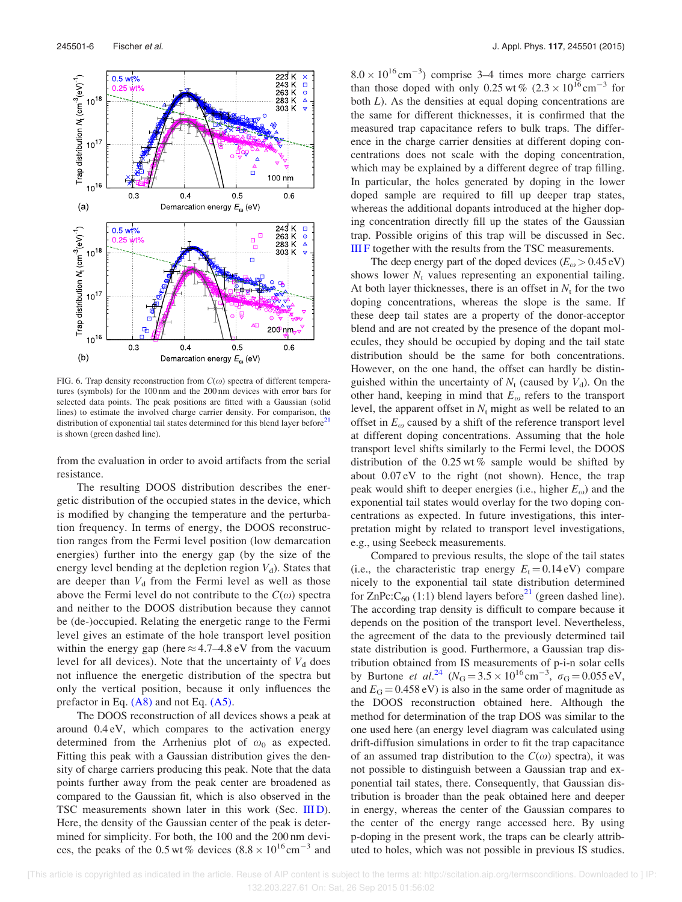

FIG. 6. Trap density reconstruction from  $C(\omega)$  spectra of different temperatures (symbols) for the 100 nm and the 200 nm devices with error bars for selected data points. The peak positions are fitted with a Gaussian (solid lines) to estimate the involved charge carrier density. For comparison, the distribution of exponential tail states determined for this blend layer before<sup>21</sup> is shown (green dashed line).

from the evaluation in order to avoid artifacts from the serial resistance.

The resulting DOOS distribution describes the energetic distribution of the occupied states in the device, which is modified by changing the temperature and the perturbation frequency. In terms of energy, the DOOS reconstruction ranges from the Fermi level position (low demarcation energies) further into the energy gap (by the size of the energy level bending at the depletion region  $V_d$ ). States that are deeper than  $V_d$  from the Fermi level as well as those above the Fermi level do not contribute to the  $C(\omega)$  spectra and neither to the DOOS distribution because they cannot be (de-)occupied. Relating the energetic range to the Fermi level gives an estimate of the hole transport level position within the energy gap (here  $\approx$  4.7–4.8 eV from the vacuum level for all devices). Note that the uncertainty of  $V_d$  does not influence the energetic distribution of the spectra but only the vertical position, because it only influences the prefactor in Eq.  $(A8)$  and not Eq.  $(A5)$ .

The DOOS reconstruction of all devices shows a peak at around 0.4 eV, which compares to the activation energy determined from the Arrhenius plot of  $\omega_0$  as expected. Fitting this peak with a Gaussian distribution gives the density of charge carriers producing this peak. Note that the data points further away from the peak center are broadened as compared to the Gaussian fit, which is also observed in the TSC measurements shown later in this work (Sec. III D). Here, the density of the Gaussian center of the peak is determined for simplicity. For both, the 100 and the 200 nm devices, the peaks of the 0.5 wt % devices  $(8.8 \times 10^{16} \text{ cm}^{-3}$  and

 $8.0 \times 10^{16}$  cm<sup>-3</sup>) comprise 3–4 times more charge carriers than those doped with only 0.25 wt %  $(2.3 \times 10^{16} \text{cm}^{-3}$  for both L). As the densities at equal doping concentrations are the same for different thicknesses, it is confirmed that the measured trap capacitance refers to bulk traps. The difference in the charge carrier densities at different doping concentrations does not scale with the doping concentration, which may be explained by a different degree of trap filling. In particular, the holes generated by doping in the lower doped sample are required to fill up deeper trap states, whereas the additional dopants introduced at the higher doping concentration directly fill up the states of the Gaussian trap. Possible origins of this trap will be discussed in Sec. III F together with the results from the TSC measurements.

The deep energy part of the doped devices  $(E_{\omega} > 0.45 \text{ eV})$ shows lower  $N_t$  values representing an exponential tailing. At both layer thicknesses, there is an offset in  $N_t$  for the two doping concentrations, whereas the slope is the same. If these deep tail states are a property of the donor-acceptor blend and are not created by the presence of the dopant molecules, they should be occupied by doping and the tail state distribution should be the same for both concentrations. However, on the one hand, the offset can hardly be distinguished within the uncertainty of  $N_t$  (caused by  $V_d$ ). On the other hand, keeping in mind that  $E_{\omega}$  refers to the transport level, the apparent offset in  $N_t$  might as well be related to an offset in  $E_{\omega}$  caused by a shift of the reference transport level at different doping concentrations. Assuming that the hole transport level shifts similarly to the Fermi level, the DOOS distribution of the  $0.25 \times 6$  sample would be shifted by about 0.07 eV to the right (not shown). Hence, the trap peak would shift to deeper energies (i.e., higher  $E_{\omega}$ ) and the exponential tail states would overlay for the two doping concentrations as expected. In future investigations, this interpretation might by related to transport level investigations, e.g., using Seebeck measurements.

Compared to previous results, the slope of the tail states (i.e., the characteristic trap energy  $E_t = 0.14 \text{ eV}$ ) compare nicely to the exponential tail state distribution determined for  $\text{ZnPc:} \text{C}_{60}$  (1:1) blend layers before<sup>21</sup> (green dashed line). The according trap density is difficult to compare because it depends on the position of the transport level. Nevertheless, the agreement of the data to the previously determined tail state distribution is good. Furthermore, a Gaussian trap distribution obtained from IS measurements of p-i-n solar cells by Burtone *et al.*<sup>24</sup> ( $N_G = 3.5 \times 10^{16} \text{ cm}^{-3}$ ,  $\sigma_G = 0.055 \text{ eV}$ , and  $E_G = 0.458$  eV) is also in the same order of magnitude as the DOOS reconstruction obtained here. Although the method for determination of the trap DOS was similar to the one used here (an energy level diagram was calculated using drift-diffusion simulations in order to fit the trap capacitance of an assumed trap distribution to the  $C(\omega)$  spectra), it was not possible to distinguish between a Gaussian trap and exponential tail states, there. Consequently, that Gaussian distribution is broader than the peak obtained here and deeper in energy, whereas the center of the Gaussian compares to the center of the energy range accessed here. By using p-doping in the present work, the traps can be clearly attributed to holes, which was not possible in previous IS studies.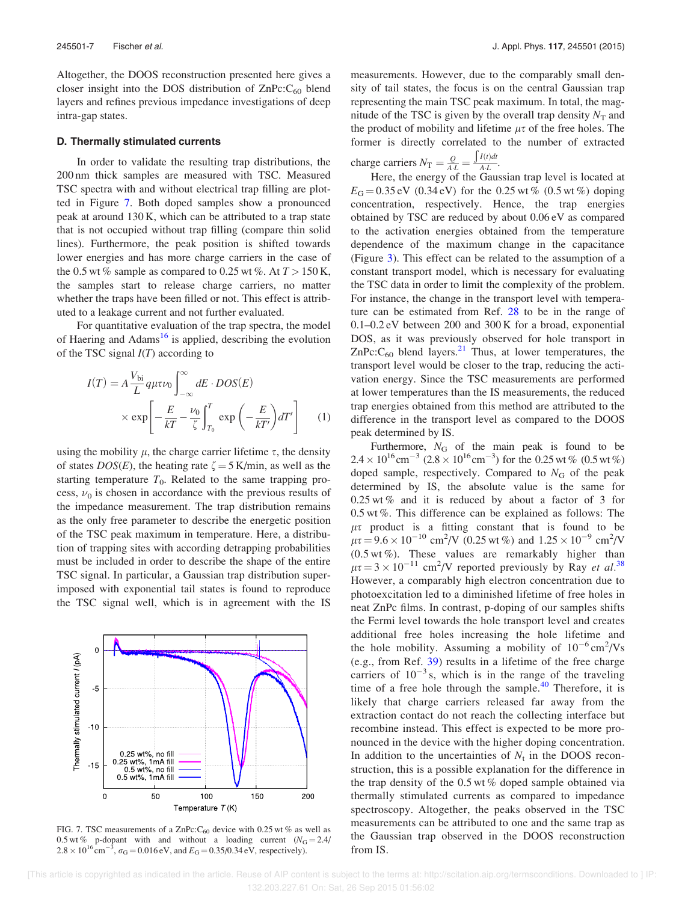Altogether, the DOOS reconstruction presented here gives a closer insight into the DOS distribution of  $\text{ZnPc:}C_{60}$  blend layers and refines previous impedance investigations of deep intra-gap states.

#### D. Thermally stimulated currents

In order to validate the resulting trap distributions, the 200 nm thick samples are measured with TSC. Measured TSC spectra with and without electrical trap filling are plotted in Figure 7. Both doped samples show a pronounced peak at around 130 K, which can be attributed to a trap state that is not occupied without trap filling (compare thin solid lines). Furthermore, the peak position is shifted towards lower energies and has more charge carriers in the case of the 0.5 wt % sample as compared to 0.25 wt %. At  $T > 150$  K, the samples start to release charge carriers, no matter whether the traps have been filled or not. This effect is attributed to a leakage current and not further evaluated.

For quantitative evaluation of the trap spectra, the model of Haering and  $Adams^{16}$  is applied, describing the evolution of the TSC signal  $I(T)$  according to

$$
I(T) = A \frac{V_{bi}}{L} q \mu \tau \nu_0 \int_{-\infty}^{\infty} dE \cdot DOS(E)
$$

$$
\times \exp\left[-\frac{E}{kT} - \frac{\nu_0}{\zeta} \int_{T_0}^{T} \exp\left(-\frac{E}{kT'}\right) dT'\right] \tag{1}
$$

using the mobility  $\mu$ , the charge carrier lifetime  $\tau$ , the density of states  $DOS(E)$ , the heating rate  $\zeta = 5$  K/min, as well as the starting temperature  $T_0$ . Related to the same trapping process,  $\nu_0$  is chosen in accordance with the previous results of the impedance measurement. The trap distribution remains as the only free parameter to describe the energetic position of the TSC peak maximum in temperature. Here, a distribution of trapping sites with according detrapping probabilities must be included in order to describe the shape of the entire TSC signal. In particular, a Gaussian trap distribution superimposed with exponential tail states is found to reproduce the TSC signal well, which is in agreement with the IS



FIG. 7. TSC measurements of a ZnPc:  $C_{60}$  device with 0.25 wt % as well as 0.5 wt % p-dopant with and without a loading current  $(N_G = 2.4)$  $2.8 \times 10^{16}$  cm<sup>-3</sup>,  $\sigma_{\rm G} = 0.016$  eV, and  $E_{\rm G} = 0.35/0.34$  eV, respectively).

measurements. However, due to the comparably small density of tail states, the focus is on the central Gaussian trap representing the main TSC peak maximum. In total, the magnitude of the TSC is given by the overall trap density  $N_T$  and the product of mobility and lifetime  $\mu\tau$  of the free holes. The former is directly correlated to the number of extracted

charge carriers 
$$
N_T = \frac{Q}{A \cdot L} = \frac{\int I(t)dt}{A \cdot L}
$$
.

ge carriers  $N_{\text{T}} = \frac{Z_{\text{AL}}}{A_{\text{LL}}}$ .<br>Here, the energy of the Gaussian trap level is located at  $E_G = 0.35$  eV (0.34 eV) for the 0.25 wt % (0.5 wt %) doping concentration, respectively. Hence, the trap energies obtained by TSC are reduced by about 0.06 eV as compared to the activation energies obtained from the temperature dependence of the maximum change in the capacitance (Figure 3). This effect can be related to the assumption of a constant transport model, which is necessary for evaluating the TSC data in order to limit the complexity of the problem. For instance, the change in the transport level with temperature can be estimated from Ref. 28 to be in the range of 0.1–0.2 eV between 200 and 300 K for a broad, exponential DOS, as it was previously observed for hole transport in  $ZnPc:C<sub>60</sub>$  blend layers.<sup>21</sup> Thus, at lower temperatures, the transport level would be closer to the trap, reducing the activation energy. Since the TSC measurements are performed at lower temperatures than the IS measurements, the reduced trap energies obtained from this method are attributed to the difference in the transport level as compared to the DOOS peak determined by IS.

Furthermore,  $N_G$  of the main peak is found to be  $2.4 \times 10^{16}$  cm<sup>-3</sup>  $(2.8 \times 10^{16}$  cm<sup>-3</sup>) for the 0.25 wt %  $(0.5 \text{ wt\%})$ doped sample, respectively. Compared to  $N<sub>G</sub>$  of the peak determined by IS, the absolute value is the same for 0.25 wt % and it is reduced by about a factor of 3 for 0.5 wt %. This difference can be explained as follows: The  $\mu\tau$  product is a fitting constant that is found to be  $\mu \tau = 9.6 \times 10^{-10} \text{ cm}^2/\text{V}$  (0.25 wt %) and  $1.25 \times 10^{-9} \text{ cm}^2/\text{V}$  $(0.5 \text{ wt } \%)$ . These values are remarkably higher than  $\mu \tau = 3 \times 10^{-11}$  cm<sup>2</sup>/V reported previously by Ray *et al.*<sup>38</sup> However, a comparably high electron concentration due to photoexcitation led to a diminished lifetime of free holes in neat ZnPc films. In contrast, p-doping of our samples shifts the Fermi level towards the hole transport level and creates additional free holes increasing the hole lifetime and the hole mobility. Assuming a mobility of  $10^{-6}$  cm<sup>2</sup>/Vs (e.g., from Ref. 39) results in a lifetime of the free charge carriers of  $10^{-3}$  s, which is in the range of the traveling time of a free hole through the sample.<sup>40</sup> Therefore, it is likely that charge carriers released far away from the extraction contact do not reach the collecting interface but recombine instead. This effect is expected to be more pronounced in the device with the higher doping concentration. In addition to the uncertainties of  $N_t$  in the DOOS reconstruction, this is a possible explanation for the difference in the trap density of the 0.5 wt % doped sample obtained via thermally stimulated currents as compared to impedance spectroscopy. Altogether, the peaks observed in the TSC measurements can be attributed to one and the same trap as the Gaussian trap observed in the DOOS reconstruction from IS.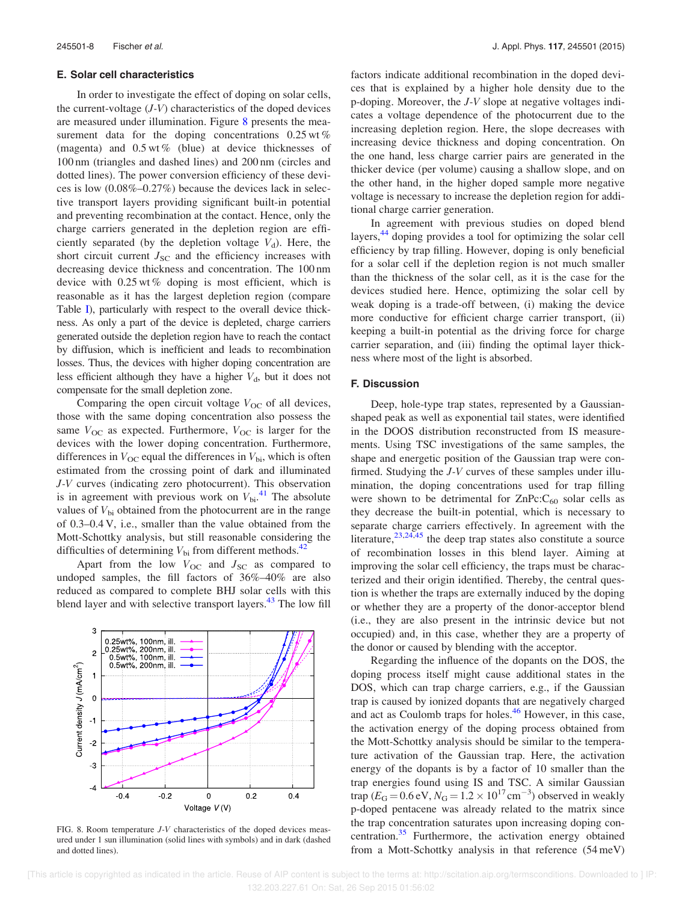#### E. Solar cell characteristics

In order to investigate the effect of doping on solar cells, the current-voltage  $(J-V)$  characteristics of the doped devices are measured under illumination. Figure 8 presents the measurement data for the doping concentrations  $0.25 \text{ wt } \%$ (magenta) and  $0.5 \text{ wt } \%$  (blue) at device thicknesses of 100 nm (triangles and dashed lines) and 200 nm (circles and dotted lines). The power conversion efficiency of these devices is low (0.08%–0.27%) because the devices lack in selective transport layers providing significant built-in potential and preventing recombination at the contact. Hence, only the charge carriers generated in the depletion region are efficiently separated (by the depletion voltage  $V_d$ ). Here, the short circuit current  $J_{SC}$  and the efficiency increases with decreasing device thickness and concentration. The 100 nm device with 0.25 wt % doping is most efficient, which is reasonable as it has the largest depletion region (compare Table I), particularly with respect to the overall device thickness. As only a part of the device is depleted, charge carriers generated outside the depletion region have to reach the contact by diffusion, which is inefficient and leads to recombination losses. Thus, the devices with higher doping concentration are less efficient although they have a higher  $V<sub>d</sub>$ , but it does not compensate for the small depletion zone.

Comparing the open circuit voltage  $V_{OC}$  of all devices, those with the same doping concentration also possess the same  $V_{\text{OC}}$  as expected. Furthermore,  $V_{\text{OC}}$  is larger for the devices with the lower doping concentration. Furthermore, differences in  $V_{OC}$  equal the differences in  $V_{bi}$ , which is often estimated from the crossing point of dark and illuminated J-V curves (indicating zero photocurrent). This observation is in agreement with previous work on  $V_{\text{bi}}^{41}$ . The absolute values of  $V_{bi}$  obtained from the photocurrent are in the range of 0.3–0.4 V, i.e., smaller than the value obtained from the Mott-Schottky analysis, but still reasonable considering the difficulties of determining  $V_{\rm bi}$  from different methods.<sup>42</sup>

Apart from the low  $V_{OC}$  and  $J_{SC}$  as compared to undoped samples, the fill factors of 36%–40% are also reduced as compared to complete BHJ solar cells with this blend layer and with selective transport layers.<sup>43</sup> The low fill



FIG. 8. Room temperature J-V characteristics of the doped devices measured under 1 sun illumination (solid lines with symbols) and in dark (dashed and dotted lines).

factors indicate additional recombination in the doped devices that is explained by a higher hole density due to the p-doping. Moreover, the J-V slope at negative voltages indicates a voltage dependence of the photocurrent due to the increasing depletion region. Here, the slope decreases with increasing device thickness and doping concentration. On the one hand, less charge carrier pairs are generated in the thicker device (per volume) causing a shallow slope, and on the other hand, in the higher doped sample more negative voltage is necessary to increase the depletion region for additional charge carrier generation.

In agreement with previous studies on doped blend layers,<sup>44</sup> doping provides a tool for optimizing the solar cell efficiency by trap filling. However, doping is only beneficial for a solar cell if the depletion region is not much smaller than the thickness of the solar cell, as it is the case for the devices studied here. Hence, optimizing the solar cell by weak doping is a trade-off between, (i) making the device more conductive for efficient charge carrier transport, (ii) keeping a built-in potential as the driving force for charge carrier separation, and (iii) finding the optimal layer thickness where most of the light is absorbed.

#### F. Discussion

Deep, hole-type trap states, represented by a Gaussianshaped peak as well as exponential tail states, were identified in the DOOS distribution reconstructed from IS measurements. Using TSC investigations of the same samples, the shape and energetic position of the Gaussian trap were confirmed. Studying the J-V curves of these samples under illumination, the doping concentrations used for trap filling were shown to be detrimental for  $\text{ZnPc:}C_{60}$  solar cells as they decrease the built-in potential, which is necessary to separate charge carriers effectively. In agreement with the literature,  $23,24,45$  the deep trap states also constitute a source of recombination losses in this blend layer. Aiming at improving the solar cell efficiency, the traps must be characterized and their origin identified. Thereby, the central question is whether the traps are externally induced by the doping or whether they are a property of the donor-acceptor blend (i.e., they are also present in the intrinsic device but not occupied) and, in this case, whether they are a property of the donor or caused by blending with the acceptor.

Regarding the influence of the dopants on the DOS, the doping process itself might cause additional states in the DOS, which can trap charge carriers, e.g., if the Gaussian trap is caused by ionized dopants that are negatively charged and act as Coulomb traps for holes.<sup>46</sup> However, in this case, the activation energy of the doping process obtained from the Mott-Schottky analysis should be similar to the temperature activation of the Gaussian trap. Here, the activation energy of the dopants is by a factor of 10 smaller than the trap energies found using IS and TSC. A similar Gaussian trap ( $E_G = 0.6 \text{ eV}$ ,  $N_G = 1.2 \times 10^{17} \text{ cm}^{-3}$ ) observed in weakly p-doped pentacene was already related to the matrix since the trap concentration saturates upon increasing doping concentration.<sup>35</sup> Furthermore, the activation energy obtained from a Mott-Schottky analysis in that reference (54 meV)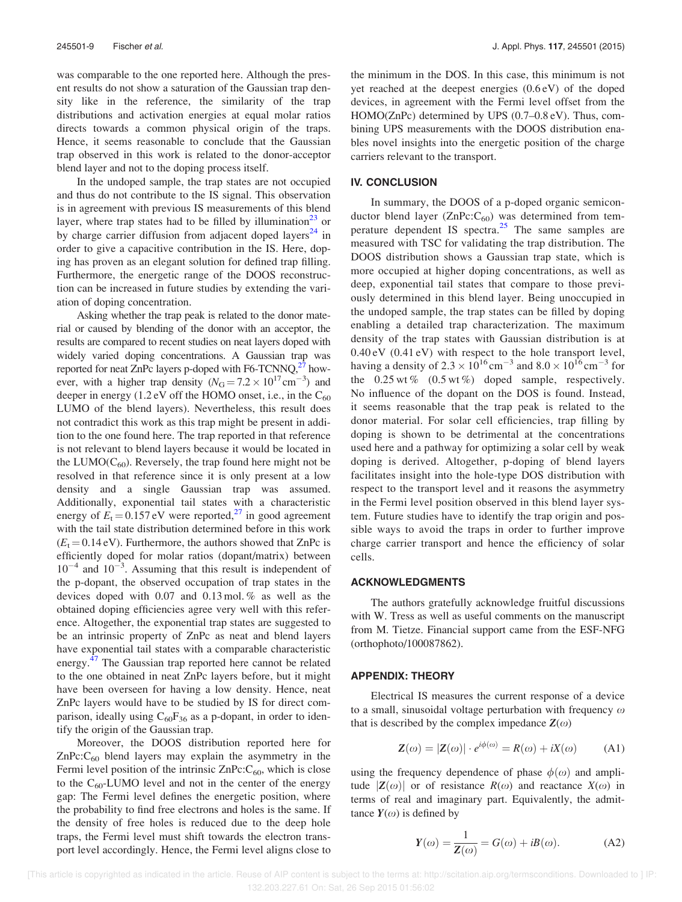was comparable to the one reported here. Although the present results do not show a saturation of the Gaussian trap density like in the reference, the similarity of the trap distributions and activation energies at equal molar ratios directs towards a common physical origin of the traps. Hence, it seems reasonable to conclude that the Gaussian trap observed in this work is related to the donor-acceptor blend layer and not to the doping process itself.

In the undoped sample, the trap states are not occupied and thus do not contribute to the IS signal. This observation is in agreement with previous IS measurements of this blend layer, where trap states had to be filled by illumination<sup>23</sup> or by charge carrier diffusion from adjacent doped layers<sup>24</sup> in order to give a capacitive contribution in the IS. Here, doping has proven as an elegant solution for defined trap filling. Furthermore, the energetic range of the DOOS reconstruction can be increased in future studies by extending the variation of doping concentration.

Asking whether the trap peak is related to the donor material or caused by blending of the donor with an acceptor, the results are compared to recent studies on neat layers doped with widely varied doping concentrations. A Gaussian trap was reported for neat ZnPc layers p-doped with F6-TCNNQ, $^{27}$  however, with a higher trap density  $(N<sub>G</sub> = 7.2 \times 10^{17} \text{ cm}^{-3})$  and deeper in energy  $(1.2 \text{ eV}$  off the HOMO onset, i.e., in the  $C_{60}$ LUMO of the blend layers). Nevertheless, this result does not contradict this work as this trap might be present in addition to the one found here. The trap reported in that reference is not relevant to blend layers because it would be located in the LUMO( $C_{60}$ ). Reversely, the trap found here might not be resolved in that reference since it is only present at a low density and a single Gaussian trap was assumed. Additionally, exponential tail states with a characteristic energy of  $E_t = 0.157$  eV were reported,<sup>27</sup> in good agreement with the tail state distribution determined before in this work  $(E_t = 0.14 \text{ eV})$ . Furthermore, the authors showed that ZnPc is efficiently doped for molar ratios (dopant/matrix) between  $10^{-4}$  and  $10^{-3}$ . Assuming that this result is independent of the p-dopant, the observed occupation of trap states in the devices doped with 0.07 and 0.13 mol. % as well as the obtained doping efficiencies agree very well with this reference. Altogether, the exponential trap states are suggested to be an intrinsic property of ZnPc as neat and blend layers have exponential tail states with a comparable characteristic energy.<sup>47</sup> The Gaussian trap reported here cannot be related to the one obtained in neat ZnPc layers before, but it might have been overseen for having a low density. Hence, neat ZnPc layers would have to be studied by IS for direct comparison, ideally using  $C_{60}F_{36}$  as a p-dopant, in order to identify the origin of the Gaussian trap.

Moreover, the DOOS distribution reported here for  $ZnPc:C<sub>60</sub>$  blend layers may explain the asymmetry in the Fermi level position of the intrinsic  $\text{ZnPc:}C_{60}$ , which is close to the  $C_{60}$ -LUMO level and not in the center of the energy gap: The Fermi level defines the energetic position, where the probability to find free electrons and holes is the same. If the density of free holes is reduced due to the deep hole traps, the Fermi level must shift towards the electron transport level accordingly. Hence, the Fermi level aligns close to the minimum in the DOS. In this case, this minimum is not yet reached at the deepest energies (0.6 eV) of the doped devices, in agreement with the Fermi level offset from the HOMO(ZnPc) determined by UPS (0.7–0.8 eV). Thus, combining UPS measurements with the DOOS distribution enables novel insights into the energetic position of the charge carriers relevant to the transport.

#### IV. CONCLUSION

In summary, the DOOS of a p-doped organic semiconductor blend layer ( $ZnPc:C_{60}$ ) was determined from temperature dependent IS spectra.<sup>25</sup> The same samples are measured with TSC for validating the trap distribution. The DOOS distribution shows a Gaussian trap state, which is more occupied at higher doping concentrations, as well as deep, exponential tail states that compare to those previously determined in this blend layer. Being unoccupied in the undoped sample, the trap states can be filled by doping enabling a detailed trap characterization. The maximum density of the trap states with Gaussian distribution is at 0.40 eV (0.41 eV) with respect to the hole transport level, having a density of  $2.3 \times 10^{16} \text{ cm}^{-3}$  and  $8.0 \times 10^{16} \text{ cm}^{-3}$  for the  $0.25$  wt %  $(0.5 \text{ wt\%})$  doped sample, respectively. No influence of the dopant on the DOS is found. Instead, it seems reasonable that the trap peak is related to the donor material. For solar cell efficiencies, trap filling by doping is shown to be detrimental at the concentrations used here and a pathway for optimizing a solar cell by weak doping is derived. Altogether, p-doping of blend layers facilitates insight into the hole-type DOS distribution with respect to the transport level and it reasons the asymmetry in the Fermi level position observed in this blend layer system. Future studies have to identify the trap origin and possible ways to avoid the traps in order to further improve charge carrier transport and hence the efficiency of solar cells.

#### ACKNOWLEDGMENTS

The authors gratefully acknowledge fruitful discussions with W. Tress as well as useful comments on the manuscript from M. Tietze. Financial support came from the ESF-NFG (orthophoto/100087862).

#### APPENDIX: THEORY

Electrical IS measures the current response of a device to a small, sinusoidal voltage perturbation with frequency  $\omega$ that is described by the complex impedance  $\mathbf{Z}(\omega)$ 

$$
\mathbf{Z}(\omega) = |\mathbf{Z}(\omega)| \cdot e^{i\phi(\omega)} = R(\omega) + iX(\omega) \tag{A1}
$$

using the frequency dependence of phase  $\phi(\omega)$  and amplitude  $|Z(\omega)|$  or of resistance  $R(\omega)$  and reactance  $X(\omega)$  in terms of real and imaginary part. Equivalently, the admittance  $Y(\omega)$  is defined by

$$
Y(\omega) = \frac{1}{Z(\omega)} = G(\omega) + iB(\omega). \tag{A2}
$$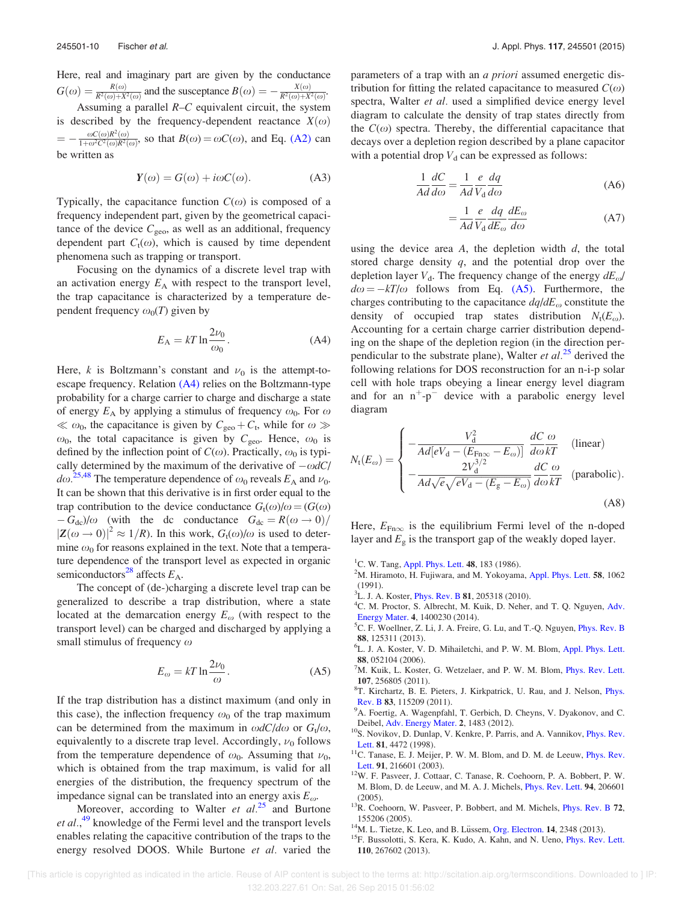Here, real and imaginary part are given by the conductance  $G(\omega) = \frac{R(\omega)}{R^2(\omega) + X^2(\omega)}$  and the susceptance  $B(\omega) = -\frac{X(\omega)}{R^2(\omega) + X^2(\omega)}$ .

Assuming a parallel  $R-C$  equivalent circuit, the system is described by the frequency-dependent reactance  $X(\omega)$  $=$  $\frac{\omega C(\omega)R^2(\omega)}{1+\omega^2C^2(\omega)R^2(\omega)}$ , so that  $B(\omega) = \omega C(\omega)$ , and Eq. (A2) can be written as

$$
Y(\omega) = G(\omega) + i\omega C(\omega). \tag{A3}
$$

Typically, the capacitance function  $C(\omega)$  is composed of a frequency independent part, given by the geometrical capacitance of the device  $C_{\text{geo}}$ , as well as an additional, frequency dependent part  $C_t(\omega)$ , which is caused by time dependent phenomena such as trapping or transport.

Focusing on the dynamics of a discrete level trap with an activation energy  $E_A$  with respect to the transport level, the trap capacitance is characterized by a temperature dependent frequency  $\omega_0(T)$  given by

$$
E_{\rm A} = kT \ln \frac{2\nu_0}{\omega_0}.
$$
 (A4)

Here, k is Boltzmann's constant and  $\nu_0$  is the attempt-toescape frequency. Relation (A4) relies on the Boltzmann-type probability for a charge carrier to charge and discharge a state of energy  $E_A$  by applying a stimulus of frequency  $\omega_0$ . For  $\omega$  $\ll \omega_0$ , the capacitance is given by  $C_{\text{geo}} + C_t$ , while for  $\omega \gg$  $\omega_0$ , the total capacitance is given by  $C_{\text{geo}}$ . Hence,  $\omega_0$  is defined by the inflection point of  $C(\omega)$ . Practically,  $\omega_0$  is typically determined by the maximum of the derivative of  $-\omega dC$  $d\omega$ <sup>25,48</sup> The temperature dependence of  $\omega_0$  reveals  $E_A$  and  $\nu_0$ . It can be shown that this derivative is in first order equal to the trap contribution to the device conductance  $G_t(\omega)/\omega = (G(\omega))$  $-G_{dc}/\omega$  (with the dc conductance  $G_{dc} = R(\omega \rightarrow 0)/\omega$  $|\mathbf{Z}(\omega \to 0)|^2 \approx 1/R$ ). In this work,  $G_t(\omega)/\omega$  is used to determine  $\omega_0$  for reasons explained in the text. Note that a temperature dependence of the transport level as expected in organic semiconductors<sup>28</sup> affects  $E_A$ .

The concept of (de-)charging a discrete level trap can be generalized to describe a trap distribution, where a state located at the demarcation energy  $E_{\omega}$  (with respect to the transport level) can be charged and discharged by applying a small stimulus of frequency  $\omega$ 

$$
E_{\omega} = kT \ln \frac{2\nu_0}{\omega}.
$$
 (A5)

If the trap distribution has a distinct maximum (and only in this case), the inflection frequency  $\omega_0$  of the trap maximum can be determined from the maximum in  $\omega dC/d\omega$  or  $G_t/\omega$ , equivalently to a discrete trap level. Accordingly,  $\nu_0$  follows from the temperature dependence of  $\omega_0$ . Assuming that  $\nu_0$ , which is obtained from the trap maximum, is valid for all energies of the distribution, the frequency spectrum of the impedance signal can be translated into an energy axis  $E_{\omega}$ .

Moreover, according to Walter *et al.*<sup>25</sup> and Burtone et al.,<sup>49</sup> knowledge of the Fermi level and the transport levels enables relating the capacitive contribution of the traps to the energy resolved DOOS. While Burtone et al. varied the parameters of a trap with an a priori assumed energetic distribution for fitting the related capacitance to measured  $C(\omega)$ spectra, Walter *et al.* used a simplified device energy level diagram to calculate the density of trap states directly from the  $C(\omega)$  spectra. Thereby, the differential capacitance that decays over a depletion region described by a plane capacitor with a potential drop  $V_d$  can be expressed as follows:

$$
\frac{1}{Ad}\frac{dC}{d\omega} = \frac{1}{Ad}\frac{e}{V_d}\frac{dq}{d\omega}
$$
 (A6)

$$
=\frac{1}{Ad}\frac{e}{V_{\rm d}}\frac{dq}{dE_{\omega}}\frac{dE_{\omega}}{d\omega}\tag{A7}
$$

using the device area  $A$ , the depletion width  $d$ , the total stored charge density  $q$ , and the potential drop over the depletion layer  $V<sub>d</sub>$ . The frequency change of the energy  $dE<sub>Q</sub>$ /  $d\omega = -kT/\omega$  follows from Eq. (A5). Furthermore, the charges contributing to the capacitance  $dq/dE_{\omega}$  constitute the density of occupied trap states distribution  $N_t(E_\omega)$ . Accounting for a certain charge carrier distribution depending on the shape of the depletion region (in the direction perpendicular to the substrate plane), Walter *et al.*<sup>25</sup> derived the following relations for DOS reconstruction for an n-i-p solar cell with hole traps obeying a linear energy level diagram and for an  $n^+$ - $p^-$  device with a parabolic energy level diagram

$$
N_{\rm t}(E_{\omega}) = \begin{cases} -\frac{V_{\rm d}^2}{Ad[eV_{\rm d} - (E_{\rm Fn\infty} - E_{\omega})]} \frac{dC}{d\omega kT} & \text{(linear)}\\ -\frac{2V_{\rm d}^{3/2}}{Ad\sqrt{e}\sqrt{eV_{\rm d} - (E_{\rm g} - E_{\omega})}} \frac{dC}{d\omega kT} & \text{(parabolic)}. \end{cases}
$$
(A8)

Here,  $E_{\text{Fn}\infty}$  is the equilibrium Fermi level of the n-doped layer and  $E_{\rm g}$  is the transport gap of the weakly doped layer.

- <sup>1</sup>C. W. Tang, Appl. Phys. Lett. 48, 183 (1986).
- $2^2$ M. Hiramoto, H. Fujiwara, and M. Yokoyama, Appl. Phys. Lett. 58, 1062 (1991).
- <sup>3</sup>L. J. A. Koster, *Phys. Rev. B* **81**, 205318 (2010).
- <sup>4</sup>C. M. Proctor, S. Albrecht, M. Kuik, D. Neher, and T. Q. Nguyen, Adv. Energy Mater. 4, 1400230 (2014).
- ${}^5C$ . F. Woellner, Z. Li, J. A. Freire, G. Lu, and T.-Q. Nguyen, *Phys. Rev. B* 88, 125311 (2013).
- <sup>6</sup>L. J. A. Koster, V. D. Mihailetchi, and P. W. M. Blom, Appl. Phys. Lett. 88, 052104 (2006).
- $7$ M. Kuik, L. Koster, G. Wetzelaer, and P. W. M. Blom, *Phys. Rev. Lett.* 107, 256805 (2011).
- 8 T. Kirchartz, B. E. Pieters, J. Kirkpatrick, U. Rau, and J. Nelson, Phys. Rev. B 83, 115209 (2011).
- <sup>9</sup>A. Foertig, A. Wagenpfahl, T. Gerbich, D. Cheyns, V. Dyakonov, and C. Deibel, Adv. Energy Mater. 2, 1483 (2012).
- <sup>10</sup>S. Novikov, D. Dunlap, V. Kenkre, P. Parris, and A. Vannikov, *Phys. Rev.* Lett. 81, 4472 (1998).
- <sup>11</sup>C. Tanase, E. J. Meijer, P. W. M. Blom, and D. M. de Leeuw, *Phys. Rev.* Lett. 91, 216601 (2003).
- <sup>12</sup>W. F. Pasveer, J. Cottaar, C. Tanase, R. Coehoorn, P. A. Bobbert, P. W. M. Blom, D. de Leeuw, and M. A. J. Michels, Phys. Rev. Lett. 94, 206601 (2005).
- <sup>13</sup>R. Coehoorn, W. Pasveer, P. Bobbert, and M. Michels, *Phys. Rev. B* 72, 155206 (2005).
- $14$ M. L. Tietze, K. Leo, and B. Lüssem, Org. Electron. 14, 2348 (2013).
- <sup>15</sup>F. Bussolotti, S. Kera, K. Kudo, A. Kahn, and N. Ueno, *Phys. Rev. Lett.* 110, 267602 (2013).